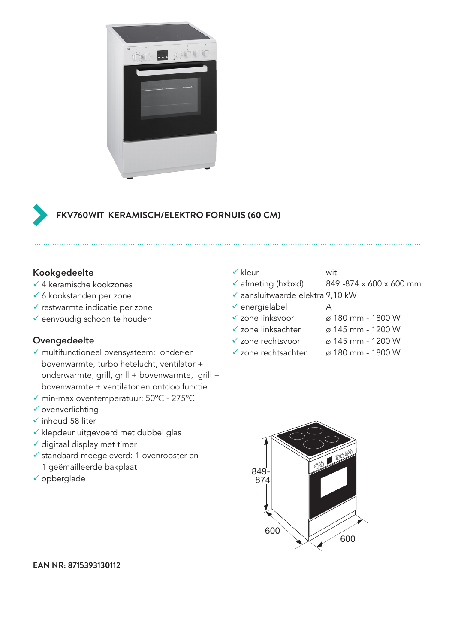

# **FKV760WIT KERAMISCH/ELEKTRO FORNUIS (60 CM)**

### Kookgedeelte

- $\checkmark$  4 keramische kookzones
- $\checkmark$  6 kookstanden per zone
- $\checkmark$  restwarmte indicatie per zone
- $\checkmark$  eenvoudig schoon te houden

#### Ovengedeelte

- $\checkmark$  multifunctioneel ovensysteem: onder-en bovenwarmte, turbo hetelucht, ventilator + onderwarmte, grill, grill + bovenwarmte, grill + bovenwarmte + ventilator en ontdooifunctie
- $\checkmark$  min-max oventemperatuur: 50°C 275°C
- $\checkmark$  ovenverlichting
- $\checkmark$  inhoud 58 liter
- $\checkmark$  klepdeur uitgevoerd met dubbel glas
- $\checkmark$  digitaal display met timer
- $\checkmark$  standaard meegeleverd: 1 ovenrooster en 1 geëmailleerde bakplaat
- $\checkmark$  opberglade

### $\checkmark$  kleur wit

- $\checkmark$  afmeting (hxbxd) 849 -874 x 600 x 600 mm
- $\checkmark$  aansluitwaarde elektra 9,10 kW
- $\checkmark$  energielabel A
- 
- $\checkmark$  zone linksvoor  $\check{\varnothing}$  180 mm 1800 W
- $\checkmark$  zone linksachter ø 145 mm 1200 W
- $\checkmark$  zone rechtsvoor ø 145 mm 1200 W
- 
- $\checkmark$  zone rechtsachter ø 180 mm 1800 W



**EAN NR: 8715393130112**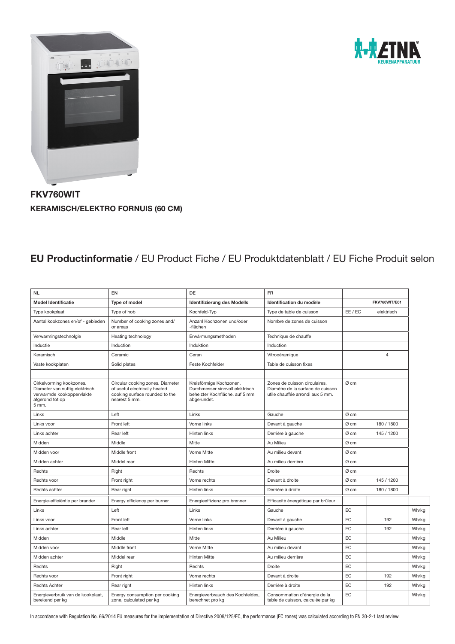



FKV760WIT KERAMISCH/ELEKTRO FORNUIS (60 CM)

### EU Productinformatie / EU Product Fiche / EU Produktdatenblatt / EU Fiche Produit selon

| <b>NL</b>                                                                                                           | EN                                                                                                                   | <b>DE</b>                                                                                                   | <b>FR</b>                                                                                              |         |                |       |
|---------------------------------------------------------------------------------------------------------------------|----------------------------------------------------------------------------------------------------------------------|-------------------------------------------------------------------------------------------------------------|--------------------------------------------------------------------------------------------------------|---------|----------------|-------|
| <b>Model Identificatie</b>                                                                                          | Type of model                                                                                                        | <b>Identifizierung des Modells</b>                                                                          | Identification du modèle                                                                               |         | FKV760WIT/E01  |       |
| Type kookplaat                                                                                                      | Type of hob                                                                                                          | Kochfeld-Typ                                                                                                | Type de table de cuisson                                                                               | EE / EC | elektrisch     |       |
| Aantal kookzones en/of - gebieden                                                                                   | Number of cooking zones and/<br>or areas                                                                             | Anzahl Kochzonen und/oder<br>-flächen                                                                       | Nombre de zones de cuisson                                                                             |         |                |       |
| Verwarmingstechnolgie                                                                                               | Heating technology                                                                                                   | Erwärmungsmethoden                                                                                          | Technique de chauffe                                                                                   |         |                |       |
| Inductie                                                                                                            | Induction                                                                                                            | Induktion                                                                                                   | Induction                                                                                              |         |                |       |
| Keramisch                                                                                                           | Ceramic                                                                                                              | Ceran                                                                                                       | Vitrocéramique                                                                                         |         | $\overline{4}$ |       |
| Vaste kookplaten                                                                                                    | Solid plates                                                                                                         | Feste Kochfelder                                                                                            | Table de cuisson fixes                                                                                 |         |                |       |
|                                                                                                                     |                                                                                                                      |                                                                                                             |                                                                                                        |         |                |       |
| Cirkelvorming kookzones.<br>Diameter van nuttig elektrisch<br>verwarmde kookoppervlakte<br>afgerond tot op<br>5 mm. | Circular cooking zones. Diameter<br>of useful electrically heated<br>cooking surface rounded to the<br>nearest 5 mm. | Kreisförmige Kochzonen.<br>Durchmesser sinnvoll elektrisch<br>beheizter Kochfläche, auf 5 mm<br>abgerundet. | Zones de cuisson circulaires.<br>Diamètre de la surface de cuisson<br>utile chauffée arrondi aux 5 mm. | Ø cm    |                |       |
| Links                                                                                                               | Left                                                                                                                 | Links                                                                                                       | Gauche                                                                                                 | Ø cm    |                |       |
| Links voor                                                                                                          | Front left                                                                                                           | Vorne links                                                                                                 | Devant à gauche                                                                                        | Ø cm    | 180 / 1800     |       |
| Links achter                                                                                                        | Rear left                                                                                                            | Hinten links                                                                                                | Derrière à gauche                                                                                      | Ø cm    | 145 / 1200     |       |
| Midden                                                                                                              | Middle                                                                                                               | Mitte                                                                                                       | Au Milieu                                                                                              | Ø cm    |                |       |
| Midden voor                                                                                                         | Middle front                                                                                                         | Vorne Mitte                                                                                                 | Au milieu devant                                                                                       | Ø cm    |                |       |
| Midden achter                                                                                                       | Middel rear                                                                                                          | <b>Hinten Mitte</b>                                                                                         | Au milieu derrière                                                                                     | Ø cm    |                |       |
| Rechts                                                                                                              | Right                                                                                                                | Rechts                                                                                                      | Droite                                                                                                 | Ø cm    |                |       |
| Rechts voor                                                                                                         | Front right                                                                                                          | Vorne rechts                                                                                                | Devant à droite                                                                                        | Ø cm    | 145 / 1200     |       |
| Rechts achter                                                                                                       | Rear right                                                                                                           | Hinten links                                                                                                | Derrière à droite                                                                                      | Ø cm    | 180 / 1800     |       |
| Energie-efficiëntie per brander                                                                                     | Energy efficiency per burner                                                                                         | Energieeffizienz pro brenner                                                                                | Efficacité énergétique par brûleur                                                                     |         |                |       |
| Links                                                                                                               | Left                                                                                                                 | Links                                                                                                       | Gauche                                                                                                 | EC      |                | Wh/kg |
| Links voor                                                                                                          | Front left                                                                                                           | Vorne links                                                                                                 | Devant à gauche                                                                                        | EC      | 192            | Wh/kg |
| Links achter                                                                                                        | Rear left                                                                                                            | Hinten links                                                                                                | Derrière à gauche                                                                                      | EC      | 192            | Wh/kg |
| Midden                                                                                                              | Middle                                                                                                               | Mitte                                                                                                       | Au Milieu                                                                                              | EC      |                | Wh/kg |
| Midden voor                                                                                                         | Middle front                                                                                                         | Vorne Mitte                                                                                                 | Au milieu devant                                                                                       | EC      |                | Wh/kg |
| Midden achter                                                                                                       | Middel rear                                                                                                          | <b>Hinten Mitte</b>                                                                                         | Au milieu derrière                                                                                     | EC      |                | Wh/kg |
| Rechts                                                                                                              | Right                                                                                                                | Rechts                                                                                                      | Droite                                                                                                 | EC      |                | Wh/kg |
| Rechts voor                                                                                                         | Front right                                                                                                          | Vorne rechts                                                                                                | Devant à droite                                                                                        | EC      | 192            | Wh/kg |
| <b>Rechts Achter</b>                                                                                                | Rear right                                                                                                           | Hinten links                                                                                                | Derrière à droite                                                                                      | EC      | 192            | Wh/kg |
| Energieverbruik van de kookplaat,<br>berekend per kg                                                                | Energy consumption per cooking<br>zone, calculated per kg                                                            | Energieverbrauch des Kochfeldes,<br>berechnet pro kg                                                        | Consommation d'énergie de la<br>table de cuisson, calculée par kg                                      | EC      |                | Wh/kg |

In accordance with Regulation No. 66/2014 EU measures for the implementation of Directive 2009/125/EC, the performance (EC zones) was calculated according to EN 30-2-1 last review.